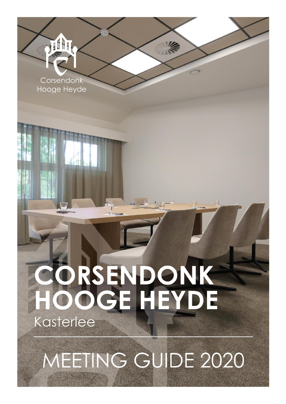

All prices below include VAT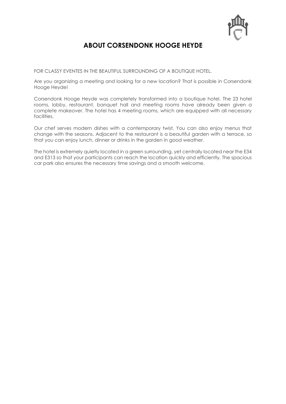

# **ABOUT CORSENDONK HOOGE HEYDE**

FOR CLASSY EVENTES IN THE BEAUTIFUL SURROUNDING OF A BOUTIQUE HOTEL.

Are you organizing a meeting and looking for a new location? That is possible in Corsendonk Hooge Heyde!

Corsendonk Hooge Heyde was completely transformed into a boutique hotel. The 23 hotel rooms, lobby, restaurant, banquet hall and meeting rooms have already been given a complete makeover. The hotel has 4 meeting rooms, which are equipped with all necessary facilities.

Our chef serves modern dishes with a contemporary twist. You can also enjoy menus that change with the seasons. Adjacent to the restaurant is a beautiful garden with a terrace, so that you can enjoy lunch, dinner or drinks in the garden in good weather.

The hotel is extremely quietly located in a green surrounding, yet centrally located near the E34 and E313 so that your participants can reach the location quickly and efficiently. The spacious car park also ensures the necessary time savings and a smooth welcome.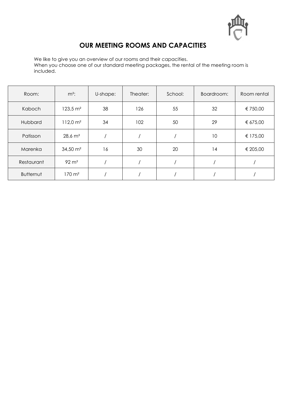

# **OUR MEETING ROOMS AND CAPACITIES**

We like to give you an overview of our rooms and their capacities. When you choose one of our standard meeting packages, the rental of the meeting room is included.

| Room:            | $m^2$ :              | U-shape: | Theater: | School: | Boardroom: | Room rental |
|------------------|----------------------|----------|----------|---------|------------|-------------|
| Kaboch           | $123,5 \text{ m}^2$  | 38       | 126      | 55      | 32         | € 750,00    |
| Hubbard          | 112,0 m <sup>2</sup> | 34       | 102      | 50      | 29         | € 675,00    |
| Patisson         | $28,6 \, \text{m}^2$ |          |          |         | 10         | € 175,00    |
| Marenka          | $34,50 \text{ m}^2$  | 16       | 30       | 20      | 14         | € 205,00    |
| Restaurant       | $92 \text{ m}^2$     |          |          |         |            |             |
| <b>Butternut</b> | $170 \; \text{m}^2$  |          |          |         |            |             |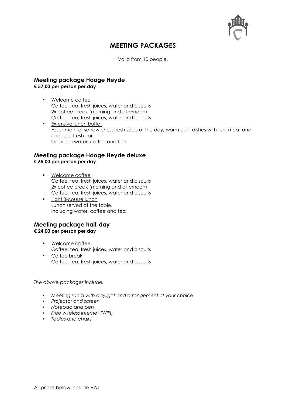## **MEETING PACKAGES**

Valid from 10 people.

### **Meeting package Hooge Heyde € 57,00 per person per day**

- Welcome coffee Coffee, tea, fresh juices, water and biscuits 2x coffee break (morning and afternoon) Coffee, tea, fresh juices, water and biscuits
- **Extensive lunch buffet** Assortment of sandwiches, fresh soup of the day, warm dish, dishes with fish, meat and cheeses, fresh fruit Including water, coffee and tea

### **Meeting package Hooge Heyde deluxe € 65,00 per person per day**

- Welcome coffee Coffee, tea, fresh juices, water and biscuits 2x coffee break (morning and afternoon) Coffee, tea, fresh juices, water and biscuits
- Light 3-course lunch Lunch served at the table. Including water, coffee and tea

#### **Meeting package half-day € 24,00 per person per day**

- Welcome coffee Coffee, tea, fresh juices, water and biscuits
- Coffee break Coffee, tea, fresh juices, water and biscuits

*The above packages include:*

- *Meeting room with daylight and arrangement of your choice*
- *Projector and screen*
- *Notepad and pen*
- *Free wireless internet (WIFI)*
- *Tables and chairs*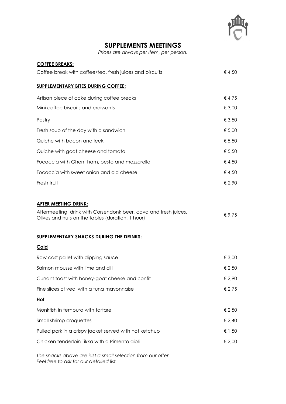## **SUPPLEMENTS MEETINGS**

*Prices are always per item, per person.*

| € 4,50 |
|--------|
|        |
| € 4,75 |
| € 3,00 |
| € 3,50 |
| € 5,00 |
| € 5,50 |
| € 5,50 |
| € 4,50 |
| € 4,50 |
| € 2,90 |
|        |
| €9,75  |
|        |
|        |
| € 3,00 |
| € 2,50 |
| € 2,90 |
| € 2,75 |
|        |
| € 2,50 |
| € 2,40 |
| € 1,50 |
| € 2,00 |
|        |

*The snacks above are just a small selection from our offer. Feel free to ask for our detailed list.*